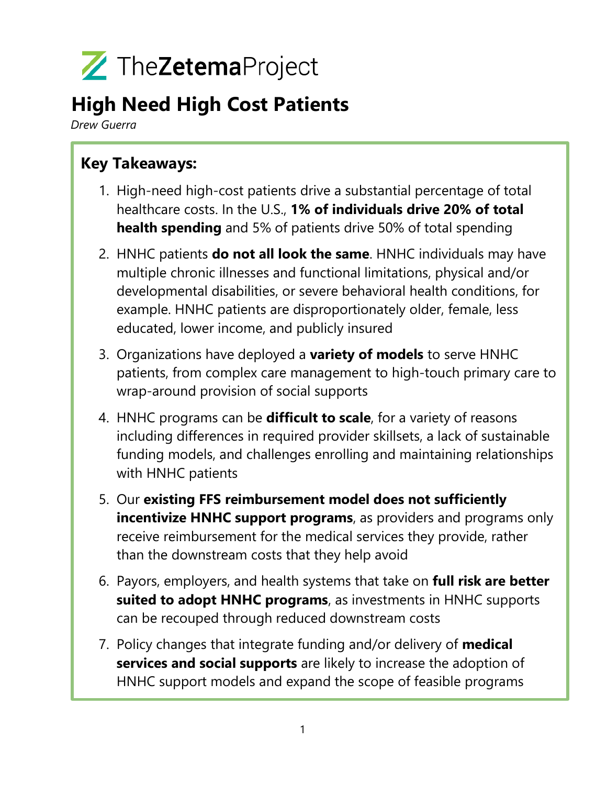

## **High Need High Cost Patients**

*Drew Guerra*

## **Key Takeaways:**

- 1. High-need high-cost patients drive a substantial percentage of total healthcare costs. In the U.S., **1% of individuals drive 20% of total health spending** and 5% of patients drive 50% of total spending
- 2. HNHC patients **do not all look the same**. HNHC individuals may have multiple chronic illnesses and functional limitations, physical and/or developmental disabilities, or severe behavioral health conditions, for example. HNHC patients are disproportionately older, female, less educated, lower income, and publicly insured
- 3. Organizations have deployed a **variety of models** to serve HNHC patients, from complex care management to high-touch primary care to wrap-around provision of social supports
- 4. HNHC programs can be **difficult to scale**, for a variety of reasons including differences in required provider skillsets, a lack of sustainable funding models, and challenges enrolling and maintaining relationships with HNHC patients
- 5. Our **existing FFS reimbursement model does not sufficiently incentivize HNHC support programs**, as providers and programs only receive reimbursement for the medical services they provide, rather than the downstream costs that they help avoid
- 6. Payors, employers, and health systems that take on **full risk are better suited to adopt HNHC programs**, as investments in HNHC supports can be recouped through reduced downstream costs
- 7. Policy changes that integrate funding and/or delivery of **medical services and social supports** are likely to increase the adoption of HNHC support models and expand the scope of feasible programs